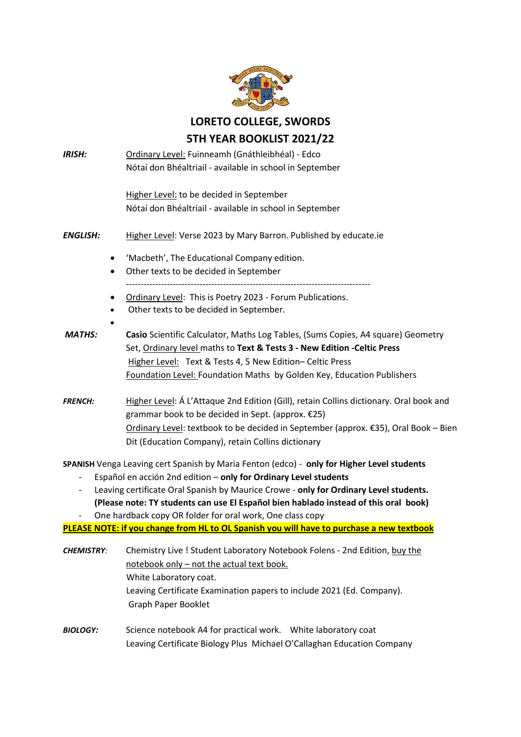

**LORETO COLLEGE, SWORDS**

## **5TH YEAR BOOKLIST 2021/22**

| <b>IRISH:</b>            | Ordinary Level: Fuinneamh (Gnáthleibhéal) - Edco                                                 |
|--------------------------|--------------------------------------------------------------------------------------------------|
|                          | Nótaí don Bhéaltriail - available in school in September                                         |
|                          |                                                                                                  |
|                          | Higher Level: to be decided in September                                                         |
|                          | Nótaí don Bhéaltriail - available in school in September                                         |
| ENGLISH:                 | Higher Level: Verse 2023 by Mary Barron. Published by educate.ie                                 |
|                          | 'Macbeth', The Educational Company edition.<br>٠                                                 |
|                          | Other texts to be decided in September<br>$\bullet$                                              |
|                          | Ordinary Level: This is Poetry 2023 - Forum Publications.<br>٠                                   |
|                          | Other texts to be decided in September.<br>$\bullet$                                             |
|                          |                                                                                                  |
| <b>MATHS:</b>            | Casio Scientific Calculator, Maths Log Tables, (Sums Copies, A4 square) Geometry                 |
|                          | Set, Ordinary level maths to Text & Tests 3 - New Edition - Celtic Press                         |
|                          | Higher Level: Text & Tests 4, 5 New Edition- Celtic Press                                        |
|                          | Foundation Level: Foundation Maths by Golden Key, Education Publishers                           |
| <b>FRENCH:</b>           | Higher Level: Á L'Attaque 2nd Edition (Gill), retain Collins dictionary. Oral book and           |
|                          | grammar book to be decided in Sept. (approx. €25)                                                |
|                          | Ordinary Level: textbook to be decided in September (approx. €35), Oral Book - Bien              |
|                          | Dit (Education Company), retain Collins dictionary                                               |
|                          | SPANISH Venga Leaving cert Spanish by Maria Fenton (edco) - only for Higher Level students       |
| $\overline{\phantom{0}}$ | Español en acción 2nd edition - only for Ordinary Level students                                 |
|                          | Leaving certificate Oral Spanish by Maurice Crowe - only for Ordinary Level students.            |
|                          | (Please note: TY students can use El Español bien hablado instead of this oral book)             |
| $\overline{\phantom{a}}$ | One hardback copy OR folder for oral work, One class copy                                        |
|                          | <b>PLEASE NOTE: if you change from HL to OL Spanish you will have to purchase a new textbook</b> |
| <b>CHEMISTRY:</b>        | Chemistry Live ! Student Laboratory Notebook Folens - 2nd Edition, buy the                       |

notebook only – not the actual text book. White Laboratory coat. Leaving Certificate Examination papers to include 2021 (Ed. Company). Graph Paper Booklet

*BIOLOGY:*Science notebook A4 for practical work. White laboratory coat Leaving Certificate Biology Plus Michael O'Callaghan Education Company